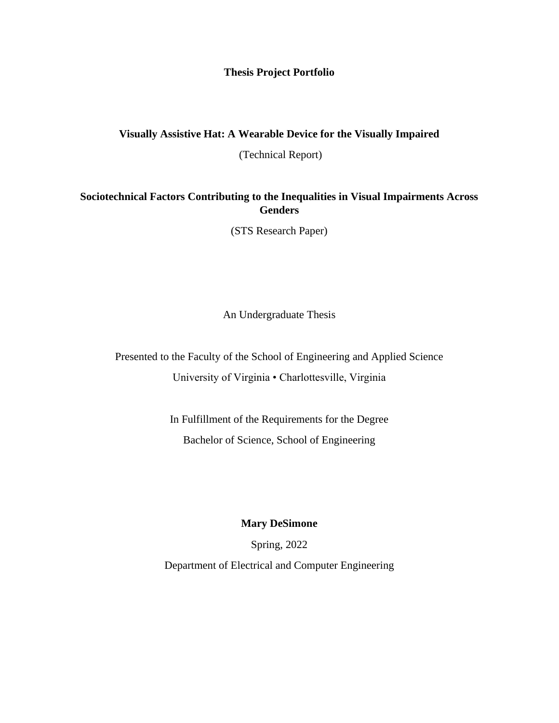#### **Thesis Project Portfolio**

## **Visually Assistive Hat: A Wearable Device for the Visually Impaired**

(Technical Report)

### **Sociotechnical Factors Contributing to the Inequalities in Visual Impairments Across Genders**

(STS Research Paper)

An Undergraduate Thesis

Presented to the Faculty of the School of Engineering and Applied Science University of Virginia • Charlottesville, Virginia

> In Fulfillment of the Requirements for the Degree Bachelor of Science, School of Engineering

### **Mary DeSimone**

Spring, 2022 Department of Electrical and Computer Engineering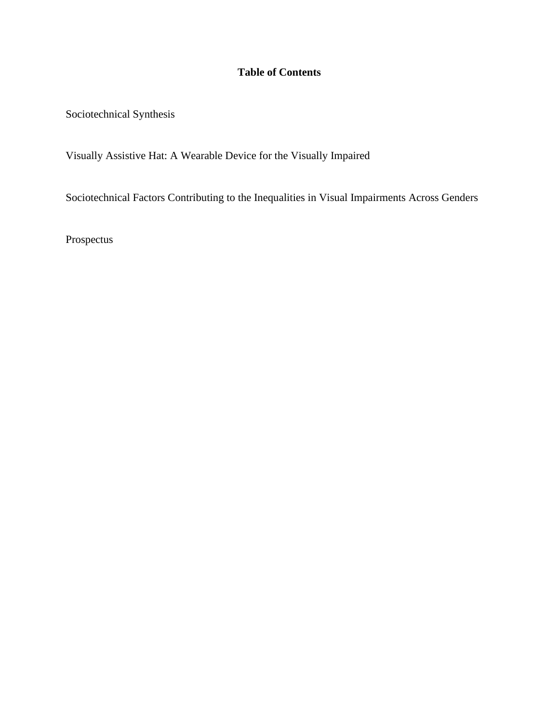# **Table of Contents**

Sociotechnical Synthesis

Visually Assistive Hat: A Wearable Device for the Visually Impaired

Sociotechnical Factors Contributing to the Inequalities in Visual Impairments Across Genders

Prospectus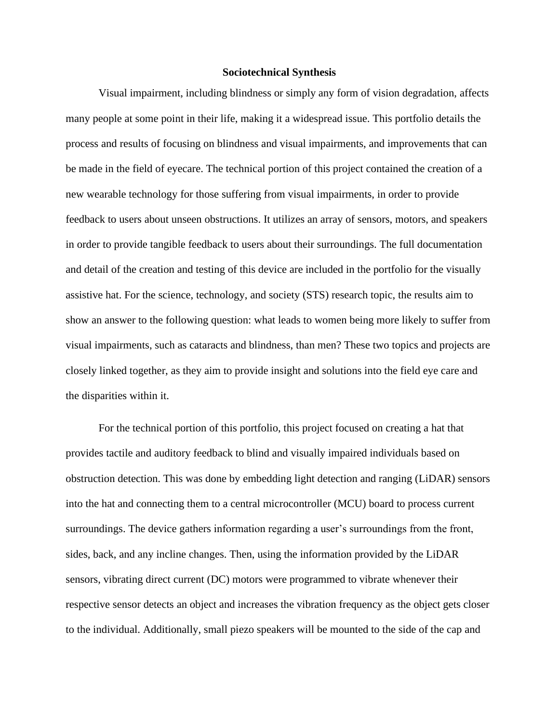#### **Sociotechnical Synthesis**

Visual impairment, including blindness or simply any form of vision degradation, affects many people at some point in their life, making it a widespread issue. This portfolio details the process and results of focusing on blindness and visual impairments, and improvements that can be made in the field of eyecare. The technical portion of this project contained the creation of a new wearable technology for those suffering from visual impairments, in order to provide feedback to users about unseen obstructions. It utilizes an array of sensors, motors, and speakers in order to provide tangible feedback to users about their surroundings. The full documentation and detail of the creation and testing of this device are included in the portfolio for the visually assistive hat. For the science, technology, and society (STS) research topic, the results aim to show an answer to the following question: what leads to women being more likely to suffer from visual impairments, such as cataracts and blindness, than men? These two topics and projects are closely linked together, as they aim to provide insight and solutions into the field eye care and the disparities within it.

For the technical portion of this portfolio, this project focused on creating a hat that provides tactile and auditory feedback to blind and visually impaired individuals based on obstruction detection. This was done by embedding light detection and ranging (LiDAR) sensors into the hat and connecting them to a central microcontroller (MCU) board to process current surroundings. The device gathers information regarding a user's surroundings from the front, sides, back, and any incline changes. Then, using the information provided by the LiDAR sensors, vibrating direct current (DC) motors were programmed to vibrate whenever their respective sensor detects an object and increases the vibration frequency as the object gets closer to the individual. Additionally, small piezo speakers will be mounted to the side of the cap and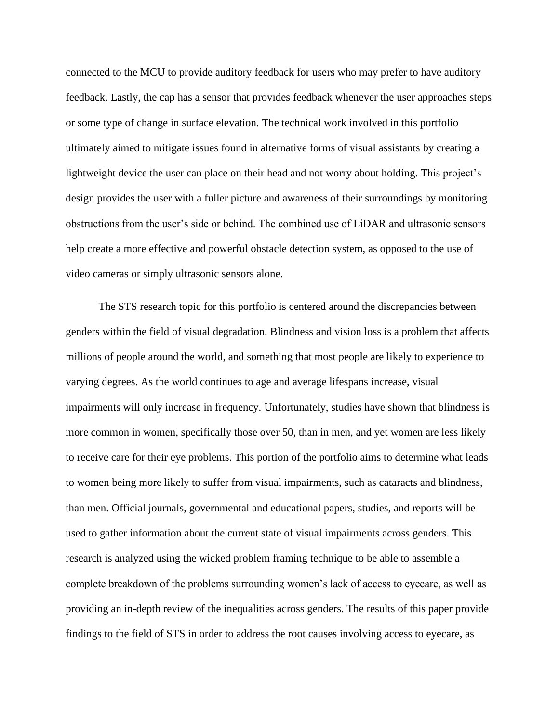connected to the MCU to provide auditory feedback for users who may prefer to have auditory feedback. Lastly, the cap has a sensor that provides feedback whenever the user approaches steps or some type of change in surface elevation. The technical work involved in this portfolio ultimately aimed to mitigate issues found in alternative forms of visual assistants by creating a lightweight device the user can place on their head and not worry about holding. This project's design provides the user with a fuller picture and awareness of their surroundings by monitoring obstructions from the user's side or behind. The combined use of LiDAR and ultrasonic sensors help create a more effective and powerful obstacle detection system, as opposed to the use of video cameras or simply ultrasonic sensors alone.

The STS research topic for this portfolio is centered around the discrepancies between genders within the field of visual degradation. Blindness and vision loss is a problem that affects millions of people around the world, and something that most people are likely to experience to varying degrees. As the world continues to age and average lifespans increase, visual impairments will only increase in frequency. Unfortunately, studies have shown that blindness is more common in women, specifically those over 50, than in men, and yet women are less likely to receive care for their eye problems. This portion of the portfolio aims to determine what leads to women being more likely to suffer from visual impairments, such as cataracts and blindness, than men. Official journals, governmental and educational papers, studies, and reports will be used to gather information about the current state of visual impairments across genders. This research is analyzed using the wicked problem framing technique to be able to assemble a complete breakdown of the problems surrounding women's lack of access to eyecare, as well as providing an in-depth review of the inequalities across genders. The results of this paper provide findings to the field of STS in order to address the root causes involving access to eyecare, as